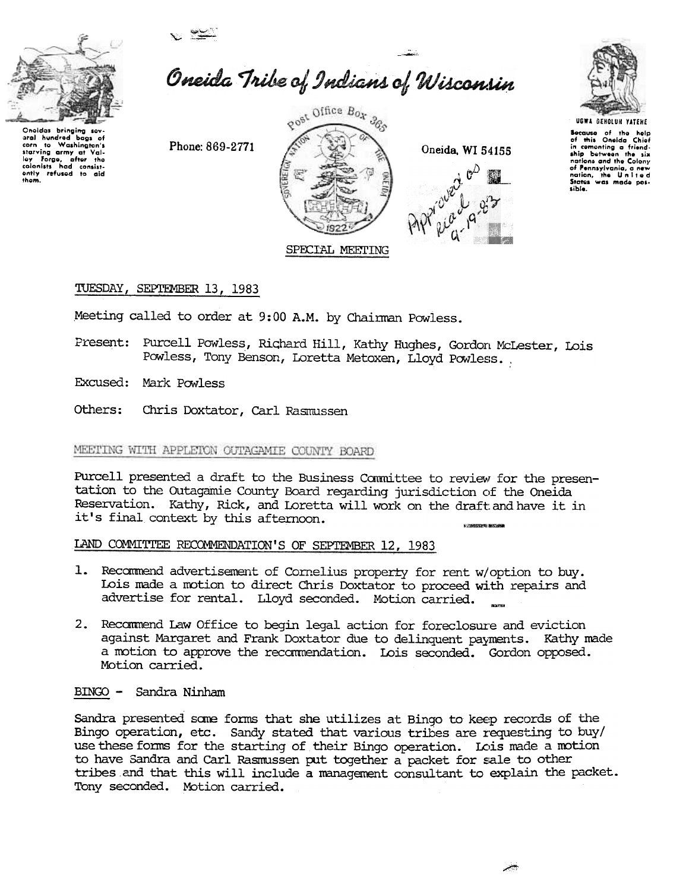



aral hundred bags of Washington's

starving army at Valley Forge, after the

corn  $10$  Oneida Tribe of Indians of Wisconsin

Phone: 869-2771







**UGWA GEHOLUN YATENE** 

Because of the help of this Oneida Chief in cementing a friend-<br>ship between the six nations and the Colony of Pennsylvania, a new<br>nation, the United<br>States was made possible.

## TUESDAY, SEPTEMBER 13, 1983

Meeting called to order at 9:00 A.M. by Chairman Powless.

Present: Purcell Powless, Richard Hill, Kathy Hughes, Gordon McLester, Lois Powless, Tony Benson, Loretta Metoxen, Lloyd Powless...

Excused: Mark Powless

Others: Chris Doxtator, Carl Rasmussen

## MEETING WITH APPLETON OUTAGAMIE COUNTY BOARD

Purcell presented a draft to the Business Committee to review for the presentation to the Outagamie County Board regarding jurisdiction of the Oneida Reservation. Kathy, Rick, and Loretta will work on the draft and have it in it's final context by this afternoon.

## LAND COMMITTEE RECOMMENDATION'S OF SEPTEMBER 12, 1983

- 1. Recommend advertisement of Cornelius property for rent w/option to buy. Lois made a motion to direct Chris Doxtator to proceed with repairs and advertise for rental. Lloyd seconded. Motion carried.
- 2. Recommend Law Office to begin legal action for foreclosure and eviction against Margaret and Frank Doxtator due to delinquent payments. Kathy made a motion to approve the recommendation. Lois seconded. Gordon opposed. Motion carried.

BINGO - Sandra Ninham

Sandra presented some forms that she utilizes at Bingo to keep records of the Bingo operation, etc. Sandy stated that various tribes are requesting to buy/ use these forms for the starting of their Bingo operation. Lois made a motion to have Sandra and Carl Rasmussen put together a packet for sale to other tribes and that this will include a management consultant to explain the packet. Tony seconded. Motion carried.